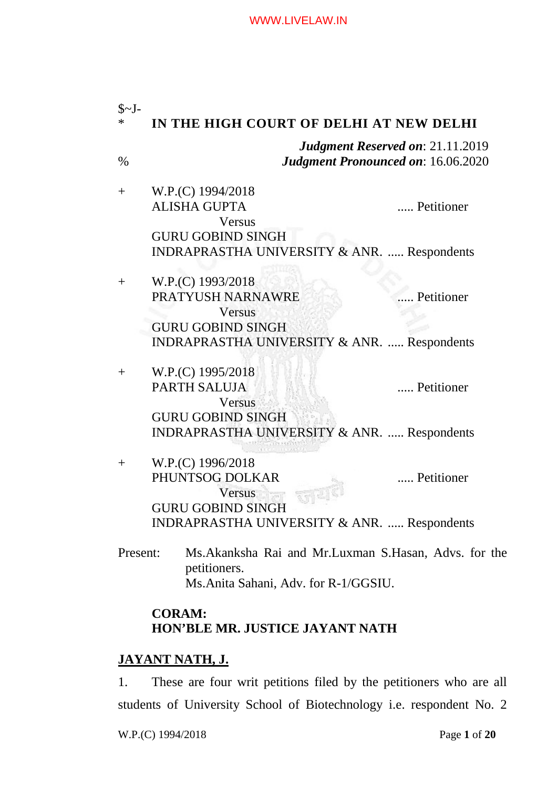| $S-I$ -<br>∗ | IN THE HIGH COURT OF DELHI AT NEW DELHI                                                                                                                     |  |  |
|--------------|-------------------------------------------------------------------------------------------------------------------------------------------------------------|--|--|
| $\%$         | <b>Judgment Reserved on: 21.11.2019</b><br><b>Judgment Pronounced on: 16.06.2020</b>                                                                        |  |  |
| $^{+}$       | W.P.(C) 1994/2018<br><b>ALISHA GUPTA</b><br>Petitioner<br>Versus                                                                                            |  |  |
|              | <b>GURU GOBIND SINGH</b><br><b>INDRAPRASTHA UNIVERSITY &amp; ANR.  Respondents</b>                                                                          |  |  |
| $^{+}$       | W.P.(C) 1993/2018<br>PRATYUSH NARNAWRE<br>Petitioner<br><b>Versus</b><br><b>GURU GOBIND SINGH</b><br><b>INDRAPRASTHA UNIVERSITY &amp; ANR.  Respondents</b> |  |  |
| $^{+}$       | W.P.(C) 1995/2018<br><b>PARTH SALUJA</b><br>Petitioner<br><b>Versus</b><br><b>GURU GOBIND SINGH</b>                                                         |  |  |
| $^{+}$       | INDRAPRASTHA UNIVERSITY & ANR.  Respondents<br>W.P.(C) 1996/2018<br>PHUNTSOG DOLKAR<br>Petitioner<br>Versus                                                 |  |  |
|              | <b>GURU GOBIND SINGH</b><br><b>INDRAPRASTHA UNIVERSITY &amp; ANR.  Respondents</b>                                                                          |  |  |
| Present:     | Ms. Akanksha Rai and Mr. Luxman S. Hasan, Advs. for the<br>petitioners.<br>Ms.Anita Sahani, Adv. for R-1/GGSIU.                                             |  |  |
|              | <b>CORAM:</b><br><b>HON'BLE MR. JUSTICE JAYANT NATH</b>                                                                                                     |  |  |

# **JAYANT NATH, J.**

1. These are four writ petitions filed by the petitioners who are all students of University School of Biotechnology i.e. respondent No. 2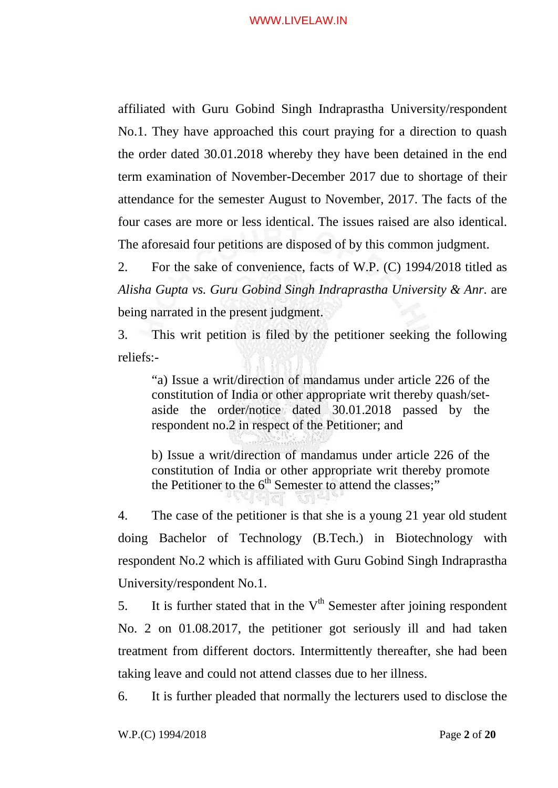affiliated with Guru Gobind Singh Indraprastha University/respondent No.1. They have approached this court praying for a direction to quash the order dated 30.01.2018 whereby they have been detained in the end term examination of November-December 2017 due to shortage of their attendance for the semester August to November, 2017. The facts of the four cases are more or less identical. The issues raised are also identical. The aforesaid four petitions are disposed of by this common judgment.

2. For the sake of convenience, facts of W.P. (C) 1994/2018 titled as *Alisha Gupta vs. Guru Gobind Singh Indraprastha University & Anr.* are being narrated in the present judgment.

3. This writ petition is filed by the petitioner seeking the following reliefs:-

"a) Issue a writ/direction of mandamus under article 226 of the constitution of India or other appropriate writ thereby quash/setaside the order/notice dated 30.01.2018 passed by the respondent no.2 in respect of the Petitioner; and

b) Issue a writ/direction of mandamus under article 226 of the constitution of India or other appropriate writ thereby promote the Petitioner to the  $6<sup>th</sup>$  Semester to attend the classes;"

4. The case of the petitioner is that she is a young 21 year old student doing Bachelor of Technology (B.Tech.) in Biotechnology with respondent No.2 which is affiliated with Guru Gobind Singh Indraprastha University/respondent No.1.

5. It is further stated that in the  $V<sup>th</sup>$  Semester after joining respondent No. 2 on 01.08.2017, the petitioner got seriously ill and had taken treatment from different doctors. Intermittently thereafter, she had been taking leave and could not attend classes due to her illness.

6. It is further pleaded that normally the lecturers used to disclose the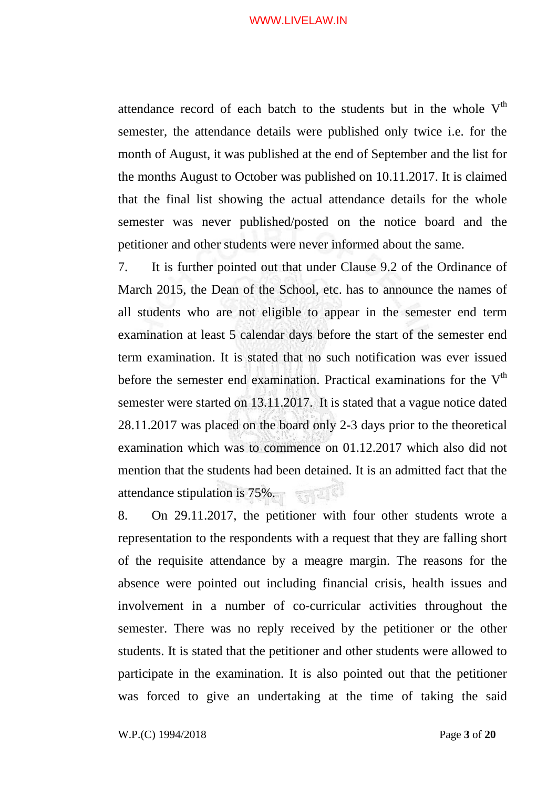attendance record of each batch to the students but in the whole  $V<sup>th</sup>$ semester, the attendance details were published only twice i.e. for the month of August, it was published at the end of September and the list for the months August to October was published on 10.11.2017. It is claimed that the final list showing the actual attendance details for the whole semester was never published/posted on the notice board and the petitioner and other students were never informed about the same.

7. It is further pointed out that under Clause 9.2 of the Ordinance of March 2015, the Dean of the School, etc. has to announce the names of all students who are not eligible to appear in the semester end term examination at least 5 calendar days before the start of the semester end term examination. It is stated that no such notification was ever issued before the semester end examination. Practical examinations for the  $V<sup>th</sup>$ semester were started on 13.11.2017. It is stated that a vague notice dated 28.11.2017 was placed on the board only 2-3 days prior to the theoretical examination which was to commence on 01.12.2017 which also did not mention that the students had been detained. It is an admitted fact that the attendance stipulation is 75%.

8. On 29.11.2017, the petitioner with four other students wrote a representation to the respondents with a request that they are falling short of the requisite attendance by a meagre margin. The reasons for the absence were pointed out including financial crisis, health issues and involvement in a number of co-curricular activities throughout the semester. There was no reply received by the petitioner or the other students. It is stated that the petitioner and other students were allowed to participate in the examination. It is also pointed out that the petitioner was forced to give an undertaking at the time of taking the said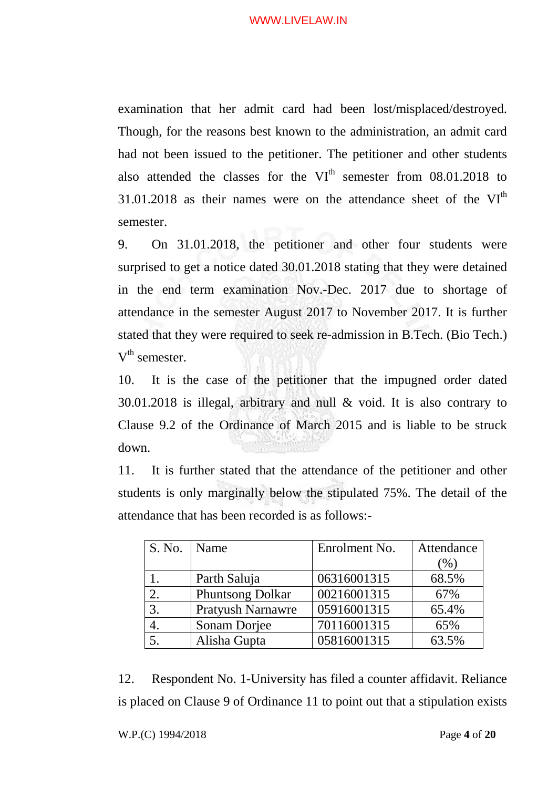examination that her admit card had been lost/misplaced/destroyed. Though, for the reasons best known to the administration, an admit card had not been issued to the petitioner. The petitioner and other students also attended the classes for the  $VI<sup>th</sup>$  semester from 08.01.2018 to  $31.01.2018$  as their names were on the attendance sheet of the VI<sup>th</sup> semester.

9. On 31.01.2018, the petitioner and other four students were surprised to get a notice dated 30.01.2018 stating that they were detained in the end term examination Nov.-Dec. 2017 due to shortage of attendance in the semester August 2017 to November 2017. It is further stated that they were required to seek re-admission in B.Tech. (Bio Tech.)  $V<sup>th</sup>$  semester.

10. It is the case of the petitioner that the impugned order dated 30.01.2018 is illegal, arbitrary and null & void. It is also contrary to Clause 9.2 of the Ordinance of March 2015 and is liable to be struck down.

11. It is further stated that the attendance of the petitioner and other students is only marginally below the stipulated 75%. The detail of the attendance that has been recorded is as follows:-

| S. No.   Name    |                         | Enrolment No. | Attendance |
|------------------|-------------------------|---------------|------------|
|                  |                         |               | $(\% )$    |
|                  | Parth Saluja            | 06316001315   | 68.5%      |
| 2.               | <b>Phuntsong Dolkar</b> | 00216001315   | 67%        |
| 3.               | Pratyush Narnawre       | 05916001315   | 65.4%      |
| $\overline{4}$ . | Sonam Dorjee            | 70116001315   | 65%        |
|                  | Alisha Gupta            | 05816001315   | 63.5%      |

12. Respondent No. 1-University has filed a counter affidavit. Reliance is placed on Clause 9 of Ordinance 11 to point out that a stipulation exists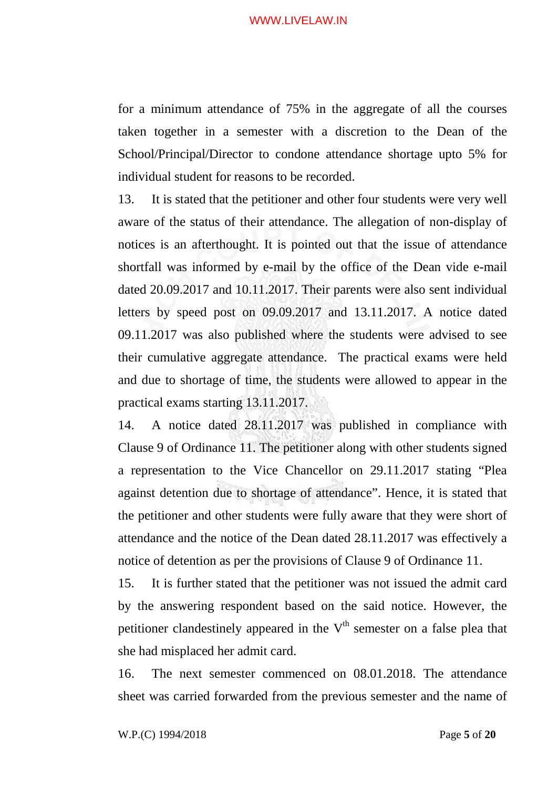for a minimum attendance of 75% in the aggregate of all the courses taken together in a semester with a discretion to the Dean of the School/Principal/Director to condone attendance shortage upto 5% for individual student for reasons to be recorded.

13. It is stated that the petitioner and other four students were very well aware of the status of their attendance. The allegation of non-display of notices is an afterthought. It is pointed out that the issue of attendance shortfall was informed by e-mail by the office of the Dean vide e-mail dated 20.09.2017 and 10.11.2017. Their parents were also sent individual letters by speed post on 09.09.2017 and 13.11.2017. A notice dated 09.11.2017 was also published where the students were advised to see their cumulative aggregate attendance. The practical exams were held and due to shortage of time, the students were allowed to appear in the practical exams starting 13.11.2017.

14. A notice dated 28.11.2017 was published in compliance with Clause 9 of Ordinance 11. The petitioner along with other students signed a representation to the Vice Chancellor on 29.11.2017 stating "Plea against detention due to shortage of attendance". Hence, it is stated that the petitioner and other students were fully aware that they were short of attendance and the notice of the Dean dated 28.11.2017 was effectively a notice of detention as per the provisions of Clause 9 of Ordinance 11.

15. It is further stated that the petitioner was not issued the admit card by the answering respondent based on the said notice. However, the petitioner clandestinely appeared in the  $V<sup>th</sup>$  semester on a false plea that she had misplaced her admit card.

16. The next semester commenced on 08.01.2018. The attendance sheet was carried forwarded from the previous semester and the name of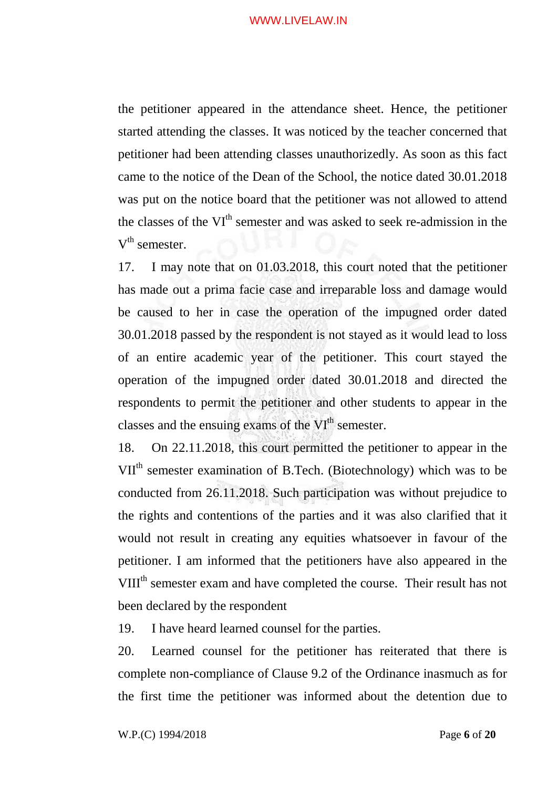the petitioner appeared in the attendance sheet. Hence, the petitioner started attending the classes. It was noticed by the teacher concerned that petitioner had been attending classes unauthorizedly. As soon as this fact came to the notice of the Dean of the School, the notice dated 30.01.2018 was put on the notice board that the petitioner was not allowed to attend the classes of the VI<sup>th</sup> semester and was asked to seek re-admission in the  $V<sup>th</sup>$  semester.

17. I may note that on 01.03.2018, this court noted that the petitioner has made out a prima facie case and irreparable loss and damage would be caused to her in case the operation of the impugned order dated 30.01.2018 passed by the respondent is not stayed as it would lead to loss of an entire academic year of the petitioner. This court stayed the operation of the impugned order dated 30.01.2018 and directed the respondents to permit the petitioner and other students to appear in the classes and the ensuing exams of the VI<sup>th</sup> semester.

18. On 22.11.2018, this court permitted the petitioner to appear in the VII<sup>th</sup> semester examination of B.Tech. (Biotechnology) which was to be conducted from 26.11.2018. Such participation was without prejudice to the rights and contentions of the parties and it was also clarified that it would not result in creating any equities whatsoever in favour of the petitioner. I am informed that the petitioners have also appeared in the VIII<sup>th</sup> semester exam and have completed the course. Their result has not been declared by the respondent

19. I have heard learned counsel for the parties.

20. Learned counsel for the petitioner has reiterated that there is complete non-compliance of Clause 9.2 of the Ordinance inasmuch as for the first time the petitioner was informed about the detention due to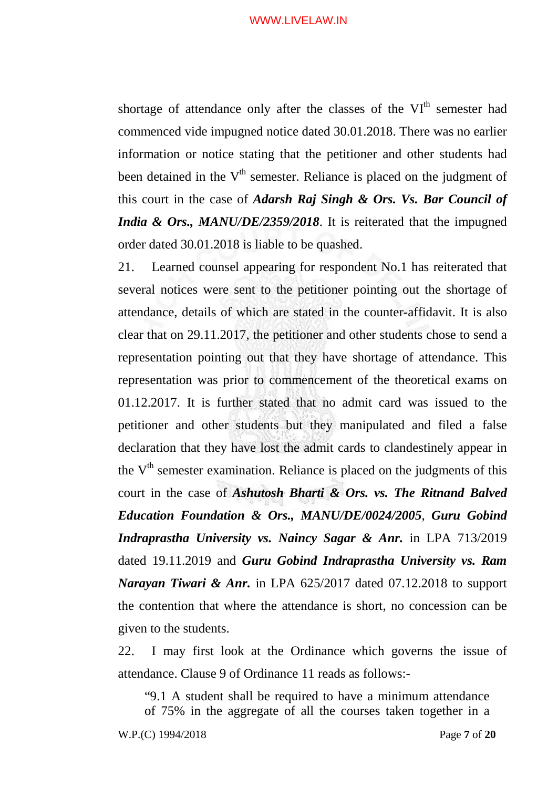shortage of attendance only after the classes of the VI<sup>th</sup> semester had commenced vide impugned notice dated 30.01.2018. There was no earlier information or notice stating that the petitioner and other students had been detained in the  $V<sup>th</sup>$  semester. Reliance is placed on the judgment of this court in the case of *Adarsh Raj Singh & Ors. Vs. Bar Council of India & Ors., MANU/DE/2359/2018*. It is reiterated that the impugned order dated 30.01.2018 is liable to be quashed.

21. Learned counsel appearing for respondent No.1 has reiterated that several notices were sent to the petitioner pointing out the shortage of attendance, details of which are stated in the counter-affidavit. It is also clear that on 29.11.2017, the petitioner and other students chose to send a representation pointing out that they have shortage of attendance. This representation was prior to commencement of the theoretical exams on 01.12.2017. It is further stated that no admit card was issued to the petitioner and other students but they manipulated and filed a false declaration that they have lost the admit cards to clandestinely appear in the  $V<sup>th</sup>$  semester examination. Reliance is placed on the judgments of this court in the case of *Ashutosh Bharti & Ors. vs. The Ritnand Balved Education Foundation & Ors., MANU/DE/0024/2005*, *Guru Gobind Indraprastha University vs. Naincy Sagar & Anr.* in LPA 713/2019 dated 19.11.2019 and *Guru Gobind Indraprastha University vs. Ram Narayan Tiwari & Anr.* in LPA 625/2017 dated 07.12.2018 to support the contention that where the attendance is short, no concession can be given to the students.

22. I may first look at the Ordinance which governs the issue of attendance. Clause 9 of Ordinance 11 reads as follows:-

"9.1 A student shall be required to have a minimum attendance of 75% in the aggregate of all the courses taken together in a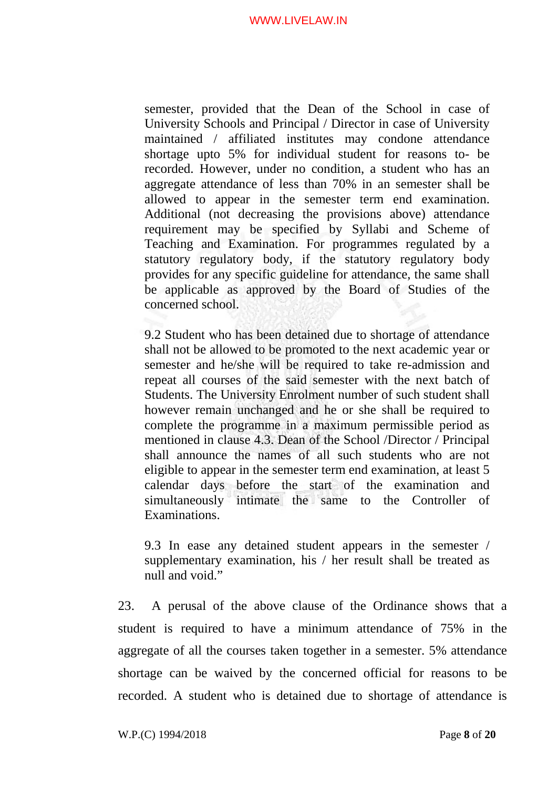semester, provided that the Dean of the School in case of University Schools and Principal / Director in case of University maintained / affiliated institutes may condone attendance shortage upto 5% for individual student for reasons to- be recorded. However, under no condition, a student who has an aggregate attendance of less than 70% in an semester shall be allowed to appear in the semester term end examination. Additional (not decreasing the provisions above) attendance requirement may be specified by Syllabi and Scheme of Teaching and Examination. For programmes regulated by a statutory regulatory body, if the statutory regulatory body provides for any specific guideline for attendance, the same shall be applicable as approved by the Board of Studies of the concerned school.

9.2 Student who has been detained due to shortage of attendance shall not be allowed to be promoted to the next academic year or semester and he/she will be required to take re-admission and repeat all courses of the said semester with the next batch of Students. The University Enrolment number of such student shall however remain unchanged and he or she shall be required to complete the programme in a maximum permissible period as mentioned in clause 4.3. Dean of the School /Director / Principal shall announce the names of all such students who are not eligible to appear in the semester term end examination, at least 5 calendar days before the start of the examination and simultaneously intimate the same to the Controller of Examinations.

9.3 In ease any detained student appears in the semester / supplementary examination, his / her result shall be treated as null and void."

23. A perusal of the above clause of the Ordinance shows that a student is required to have a minimum attendance of 75% in the aggregate of all the courses taken together in a semester. 5% attendance shortage can be waived by the concerned official for reasons to be recorded. A student who is detained due to shortage of attendance is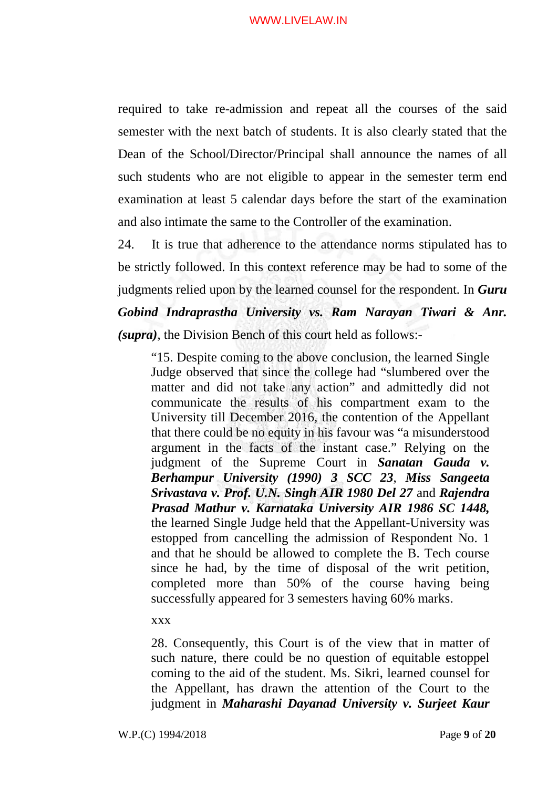required to take re-admission and repeat all the courses of the said semester with the next batch of students. It is also clearly stated that the Dean of the School/Director/Principal shall announce the names of all such students who are not eligible to appear in the semester term end examination at least 5 calendar days before the start of the examination and also intimate the same to the Controller of the examination.

24. It is true that adherence to the attendance norms stipulated has to be strictly followed. In this context reference may be had to some of the judgments relied upon by the learned counsel for the respondent. In *Guru Gobind Indraprastha University vs. Ram Narayan Tiwari & Anr. (supra)*, the Division Bench of this court held as follows:-

"15. Despite coming to the above conclusion, the learned Single Judge observed that since the college had "slumbered over the matter and did not take any action" and admittedly did not communicate the results of his compartment exam to the University till December 2016, the contention of the Appellant that there could be no equity in his favour was "a misunderstood argument in the facts of the instant case." Relying on the judgment of the Supreme Court in *Sanatan Gauda v. Berhampur University (1990) 3 SCC 23*, *Miss Sangeeta Srivastava v. Prof. U.N. Singh AIR 1980 Del 27* and *Rajendra Prasad Mathur v. Karnataka University AIR 1986 SC 1448,*  the learned Single Judge held that the Appellant-University was estopped from cancelling the admission of Respondent No. 1 and that he should be allowed to complete the B. Tech course since he had, by the time of disposal of the writ petition, completed more than 50% of the course having being successfully appeared for 3 semesters having 60% marks.

xxx

28. Consequently, this Court is of the view that in matter of such nature, there could be no question of equitable estoppel coming to the aid of the student. Ms. Sikri, learned counsel for the Appellant, has drawn the attention of the Court to the judgment in *Maharashi Dayanad University v. Surjeet Kaur*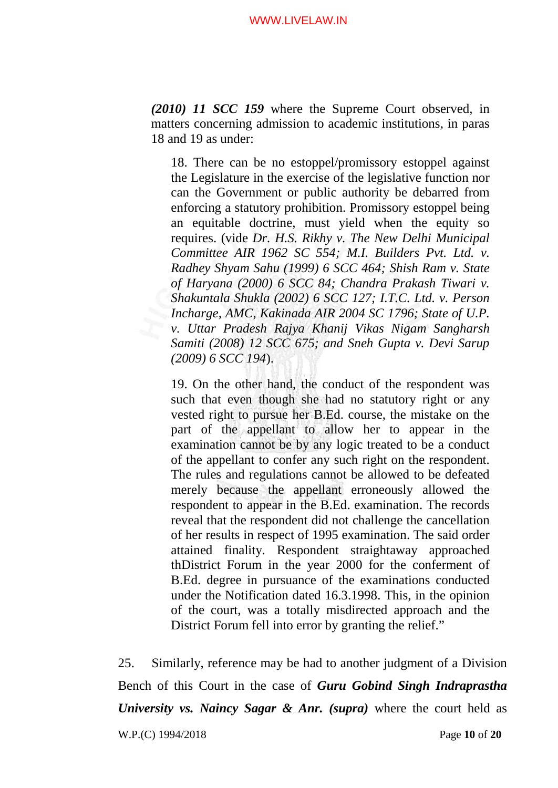*(2010) 11 SCC 159* where the Supreme Court observed, in matters concerning admission to academic institutions, in paras 18 and 19 as under:

18. There can be no estoppel/promissory estoppel against the Legislature in the exercise of the legislative function nor can the Government or public authority be debarred from enforcing a statutory prohibition. Promissory estoppel being an equitable doctrine, must yield when the equity so requires. (vide *Dr. H.S. Rikhy v. The New Delhi Municipal Committee AIR 1962 SC 554; M.I. Builders Pvt. Ltd. v. Radhey Shyam Sahu (1999) 6 SCC 464; Shish Ram v. State of Haryana (2000) 6 SCC 84; Chandra Prakash Tiwari v. Shakuntala Shukla (2002) 6 SCC 127; I.T.C. Ltd. v. Person Incharge, AMC, Kakinada AIR 2004 SC 1796; State of U.P. v. Uttar Pradesh Rajya Khanij Vikas Nigam Sangharsh Samiti (2008) 12 SCC 675; and Sneh Gupta v. Devi Sarup (2009) 6 SCC 194*).

19. On the other hand, the conduct of the respondent was such that even though she had no statutory right or any vested right to pursue her B.Ed. course, the mistake on the part of the appellant to allow her to appear in the examination cannot be by any logic treated to be a conduct of the appellant to confer any such right on the respondent. The rules and regulations cannot be allowed to be defeated merely because the appellant erroneously allowed the respondent to appear in the B.Ed. examination. The records reveal that the respondent did not challenge the cancellation of her results in respect of 1995 examination. The said order attained finality. Respondent straightaway approached thDistrict Forum in the year 2000 for the conferment of B.Ed. degree in pursuance of the examinations conducted under the Notification dated 16.3.1998. This, in the opinion of the court, was a totally misdirected approach and the District Forum fell into error by granting the relief."

25. Similarly, reference may be had to another judgment of a Division Bench of this Court in the case of *Guru Gobind Singh Indraprastha University vs. Naincy Sagar & Anr. (supra)* where the court held as

W.P.(C) 1994/2018 Page **10** of **20**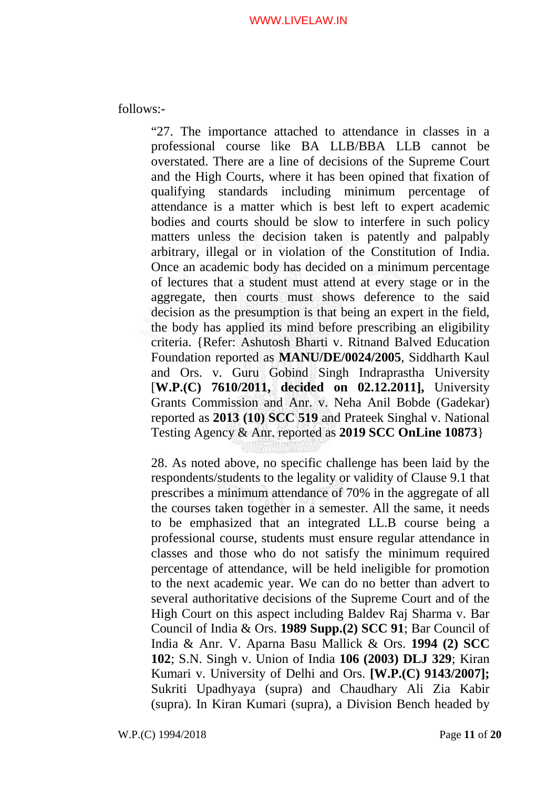follows:-

"27. The importance attached to attendance in classes in a professional course like BA LLB/BBA LLB cannot be overstated. There are a line of decisions of the Supreme Court and the High Courts, where it has been opined that fixation of qualifying standards including minimum percentage of attendance is a matter which is best left to expert academic bodies and courts should be slow to interfere in such policy matters unless the decision taken is patently and palpably arbitrary, illegal or in violation of the Constitution of India. Once an academic body has decided on a minimum percentage of lectures that a student must attend at every stage or in the aggregate, then courts must shows deference to the said decision as the presumption is that being an expert in the field, the body has applied its mind before prescribing an eligibility criteria. {Refer: Ashutosh Bharti v. Ritnand Balved Education Foundation reported as **MANU/DE/0024/2005**, Siddharth Kaul and Ors. v. Guru Gobind Singh Indraprastha University [**W.P.(C) 7610/2011, decided on 02.12.2011],** University Grants Commission and Anr. v. Neha Anil Bobde (Gadekar) reported as **2013 (10) SCC 519** and Prateek Singhal v. National Testing Agency & Anr. reported as **2019 SCC OnLine 10873**}

28. As noted above, no specific challenge has been laid by the respondents/students to the legality or validity of Clause 9.1 that prescribes a minimum attendance of 70% in the aggregate of all the courses taken together in a semester. All the same, it needs to be emphasized that an integrated LL.B course being a professional course, students must ensure regular attendance in classes and those who do not satisfy the minimum required percentage of attendance, will be held ineligible for promotion to the next academic year. We can do no better than advert to several authoritative decisions of the Supreme Court and of the High Court on this aspect including Baldev Raj Sharma v. Bar Council of India & Ors. **1989 Supp.(2) SCC 91**; Bar Council of India & Anr. V. Aparna Basu Mallick & Ors. **1994 (2) SCC 102**; S.N. Singh v. Union of India **106 (2003) DLJ 329**; Kiran Kumari v. University of Delhi and Ors. **[W.P.(C) 9143/2007];**  Sukriti Upadhyaya (supra) and Chaudhary Ali Zia Kabir (supra). In Kiran Kumari (supra), a Division Bench headed by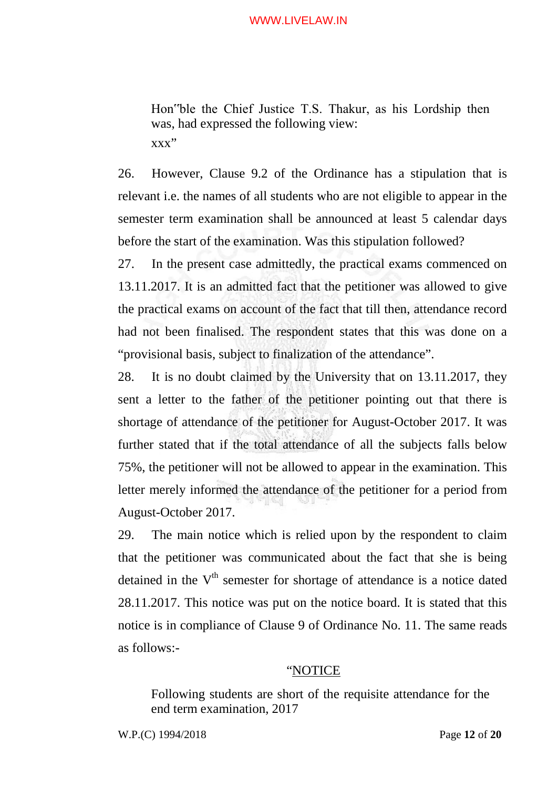Hon"ble the Chief Justice T.S. Thakur, as his Lordship then was, had expressed the following view: xxx"

26. However, Clause 9.2 of the Ordinance has a stipulation that is relevant i.e. the names of all students who are not eligible to appear in the semester term examination shall be announced at least 5 calendar days before the start of the examination. Was this stipulation followed?

27. In the present case admittedly, the practical exams commenced on 13.11.2017. It is an admitted fact that the petitioner was allowed to give the practical exams on account of the fact that till then, attendance record had not been finalised. The respondent states that this was done on a "provisional basis, subject to finalization of the attendance".

28. It is no doubt claimed by the University that on 13.11.2017, they sent a letter to the father of the petitioner pointing out that there is shortage of attendance of the petitioner for August-October 2017. It was further stated that if the total attendance of all the subjects falls below 75%, the petitioner will not be allowed to appear in the examination. This letter merely informed the attendance of the petitioner for a period from August-October 2017.

29. The main notice which is relied upon by the respondent to claim that the petitioner was communicated about the fact that she is being detained in the  $V<sup>th</sup>$  semester for shortage of attendance is a notice dated 28.11.2017. This notice was put on the notice board. It is stated that this notice is in compliance of Clause 9 of Ordinance No. 11. The same reads as follows:-

### "NOTICE

Following students are short of the requisite attendance for the end term examination, 2017

W.P.(C) 1994/2018 Page **12** of **20**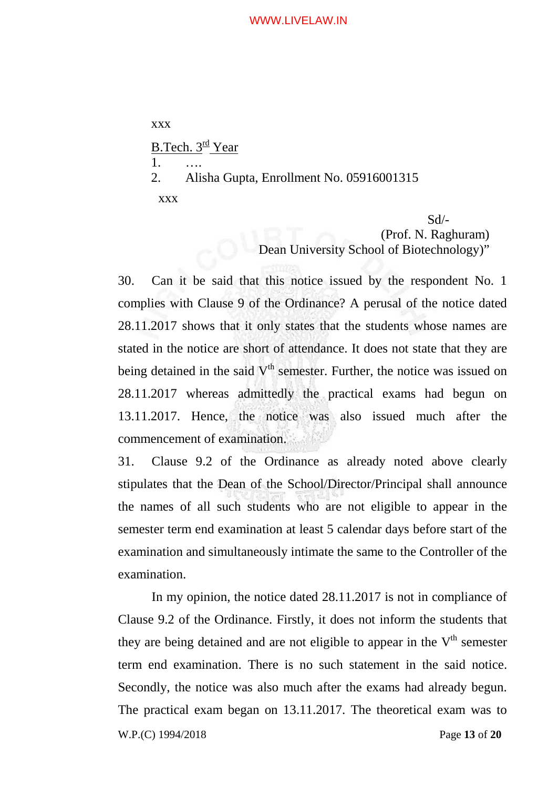xxx B.Tech.  $3<sup>rd</sup>$  Year 1. …. 2. Alisha Gupta, Enrollment No. 05916001315 xxx Sd/-

(Prof. N. Raghuram) Dean University School of Biotechnology)"

30. Can it be said that this notice issued by the respondent No. 1 complies with Clause 9 of the Ordinance? A perusal of the notice dated 28.11.2017 shows that it only states that the students whose names are stated in the notice are short of attendance. It does not state that they are being detained in the said  $V<sup>th</sup>$  semester. Further, the notice was issued on 28.11.2017 whereas admittedly the practical exams had begun on 13.11.2017. Hence, the notice was also issued much after the commencement of examination.

31. Clause 9.2 of the Ordinance as already noted above clearly stipulates that the Dean of the School/Director/Principal shall announce the names of all such students who are not eligible to appear in the semester term end examination at least 5 calendar days before start of the examination and simultaneously intimate the same to the Controller of the examination.

In my opinion, the notice dated 28.11.2017 is not in compliance of Clause 9.2 of the Ordinance. Firstly, it does not inform the students that they are being detained and are not eligible to appear in the  $V<sup>th</sup>$  semester term end examination. There is no such statement in the said notice. Secondly, the notice was also much after the exams had already begun. The practical exam began on 13.11.2017. The theoretical exam was to

W.P.(C) 1994/2018 Page **13** of **20**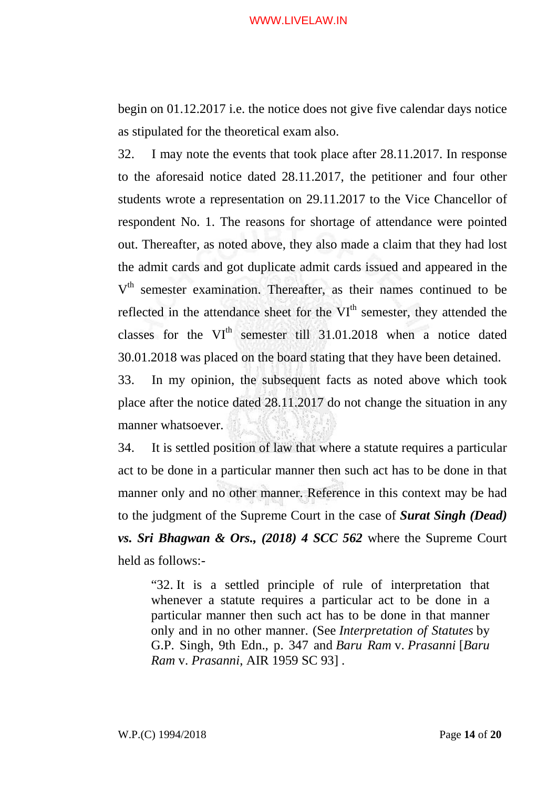begin on 01.12.2017 i.e. the notice does not give five calendar days notice as stipulated for the theoretical exam also.

32. I may note the events that took place after 28.11.2017. In response to the aforesaid notice dated 28.11.2017, the petitioner and four other students wrote a representation on 29.11.2017 to the Vice Chancellor of respondent No. 1. The reasons for shortage of attendance were pointed out. Thereafter, as noted above, they also made a claim that they had lost the admit cards and got duplicate admit cards issued and appeared in the V<sup>th</sup> semester examination. Thereafter, as their names continued to be reflected in the attendance sheet for the VI<sup>th</sup> semester, they attended the classes for the VI<sup>th</sup> semester till 31.01.2018 when a notice dated 30.01.2018 was placed on the board stating that they have been detained.

33. In my opinion, the subsequent facts as noted above which took place after the notice dated 28.11.2017 do not change the situation in any manner whatsoever.

34. It is settled position of law that where a statute requires a particular act to be done in a particular manner then such act has to be done in that manner only and no other manner. Reference in this context may be had to the judgment of the Supreme Court in the case of *Surat Singh (Dead) vs. Sri Bhagwan & Ors., (2018) 4 SCC 562* where the Supreme Court held as follows:-

"32. It is a settled principle of rule of interpretation that whenever a statute requires a particular act to be done in a particular manner then such act has to be done in that manner only and in no other manner. (See *Interpretation of Statutes* by G.P. Singh, 9th Edn., p. 347 and *Baru Ram* v. *Prasanni* [*Baru Ram* v. *Prasanni*, AIR 1959 SC 93] .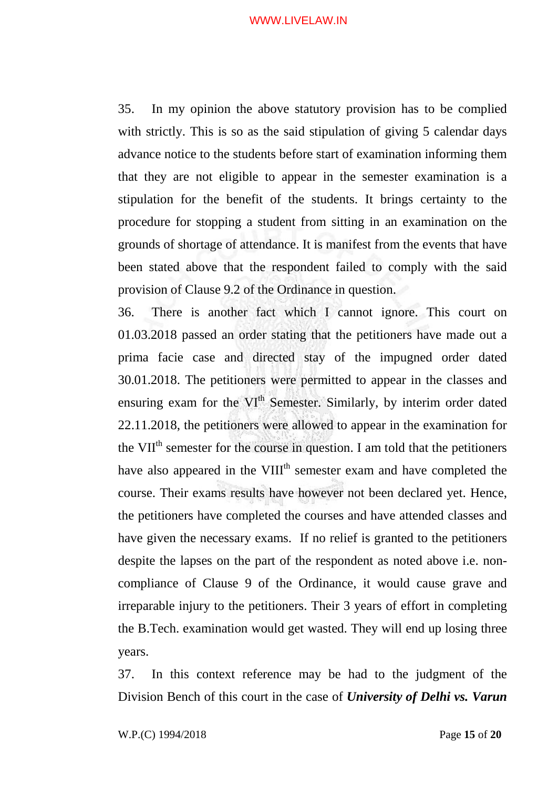35. In my opinion the above statutory provision has to be complied with strictly. This is so as the said stipulation of giving 5 calendar days advance notice to the students before start of examination informing them that they are not eligible to appear in the semester examination is a stipulation for the benefit of the students. It brings certainty to the procedure for stopping a student from sitting in an examination on the grounds of shortage of attendance. It is manifest from the events that have been stated above that the respondent failed to comply with the said provision of Clause 9.2 of the Ordinance in question.

36. There is another fact which I cannot ignore. This court on 01.03.2018 passed an order stating that the petitioners have made out a prima facie case and directed stay of the impugned order dated 30.01.2018. The petitioners were permitted to appear in the classes and ensuring exam for the VI<sup>th</sup> Semester. Similarly, by interim order dated 22.11.2018, the petitioners were allowed to appear in the examination for the VII<sup>th</sup> semester for the course in question. I am told that the petitioners have also appeared in the VIII<sup>th</sup> semester exam and have completed the course. Their exams results have however not been declared yet. Hence, the petitioners have completed the courses and have attended classes and have given the necessary exams. If no relief is granted to the petitioners despite the lapses on the part of the respondent as noted above i.e. noncompliance of Clause 9 of the Ordinance, it would cause grave and irreparable injury to the petitioners. Their 3 years of effort in completing the B.Tech. examination would get wasted. They will end up losing three years.

37. In this context reference may be had to the judgment of the Division Bench of this court in the case of *University of Delhi vs. Varun*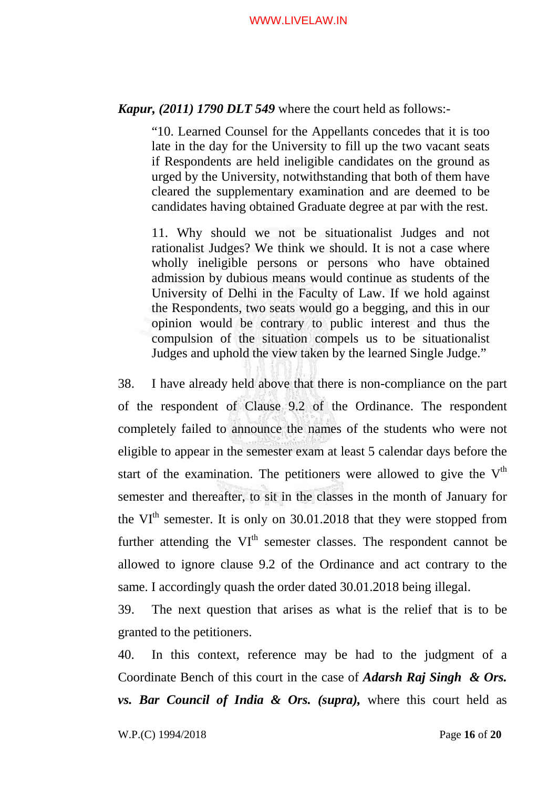*Kapur, (2011) 1790 DLT 549* where the court held as follows:-

"10. Learned Counsel for the Appellants concedes that it is too late in the day for the University to fill up the two vacant seats if Respondents are held ineligible candidates on the ground as urged by the University, notwithstanding that both of them have cleared the supplementary examination and are deemed to be candidates having obtained Graduate degree at par with the rest.

11. Why should we not be situationalist Judges and not rationalist Judges? We think we should. It is not a case where wholly ineligible persons or persons who have obtained admission by dubious means would continue as students of the University of Delhi in the Faculty of Law. If we hold against the Respondents, two seats would go a begging, and this in our opinion would be contrary to public interest and thus the compulsion of the situation compels us to be situationalist Judges and uphold the view taken by the learned Single Judge."

38. I have already held above that there is non-compliance on the part of the respondent of Clause 9.2 of the Ordinance. The respondent completely failed to announce the names of the students who were not eligible to appear in the semester exam at least 5 calendar days before the start of the examination. The petitioners were allowed to give the  $V<sup>th</sup>$ semester and thereafter, to sit in the classes in the month of January for the  $VI<sup>th</sup>$  semester. It is only on 30.01.2018 that they were stopped from further attending the VI<sup>th</sup> semester classes. The respondent cannot be allowed to ignore clause 9.2 of the Ordinance and act contrary to the same. I accordingly quash the order dated 30.01.2018 being illegal.

39. The next question that arises as what is the relief that is to be granted to the petitioners.

40. In this context, reference may be had to the judgment of a Coordinate Bench of this court in the case of *Adarsh Raj Singh & Ors. vs. Bar Council of India & Ors. (supra),* where this court held as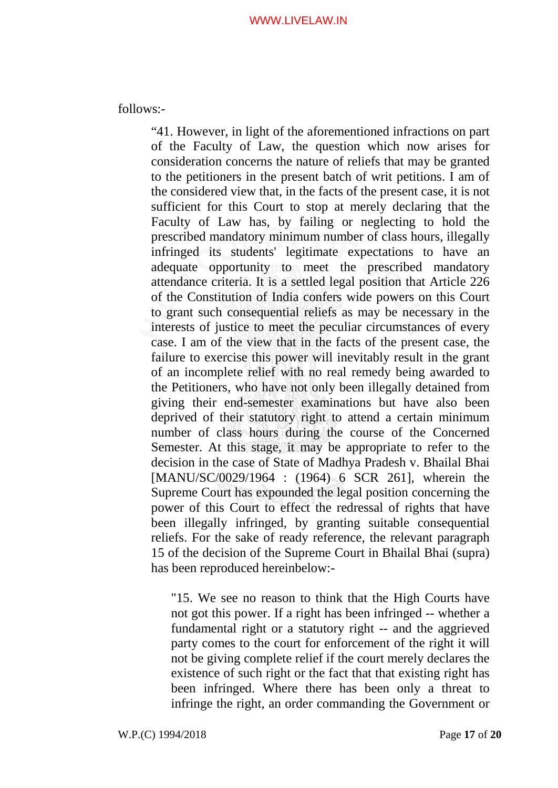follows:-

"41. However, in light of the aforementioned infractions on part of the Faculty of Law, the question which now arises for consideration concerns the nature of reliefs that may be granted to the petitioners in the present batch of writ petitions. I am of the considered view that, in the facts of the present case, it is not sufficient for this Court to stop at merely declaring that the Faculty of Law has, by failing or neglecting to hold the prescribed mandatory minimum number of class hours, illegally infringed its students' legitimate expectations to have an adequate opportunity to meet the prescribed mandatory attendance criteria. It is a settled legal position that Article 226 of the Constitution of India confers wide powers on this Court to grant such consequential reliefs as may be necessary in the interests of justice to meet the peculiar circumstances of every case. I am of the view that in the facts of the present case, the failure to exercise this power will inevitably result in the grant of an incomplete relief with no real remedy being awarded to the Petitioners, who have not only been illegally detained from giving their end-semester examinations but have also been deprived of their statutory right to attend a certain minimum number of class hours during the course of the Concerned Semester. At this stage, it may be appropriate to refer to the decision in the case of State of Madhya Pradesh v. Bhailal Bhai [MANU/SC/0029/1964 : (1964) 6 SCR 261], wherein the Supreme Court has expounded the legal position concerning the power of this Court to effect the redressal of rights that have been illegally infringed, by granting suitable consequential reliefs. For the sake of ready reference, the relevant paragraph 15 of the decision of the Supreme Court in Bhailal Bhai (supra) has been reproduced hereinbelow:-

"15. We see no reason to think that the High Courts have not got this power. If a right has been infringed -- whether a fundamental right or a statutory right -- and the aggrieved party comes to the court for enforcement of the right it will not be giving complete relief if the court merely declares the existence of such right or the fact that that existing right has been infringed. Where there has been only a threat to infringe the right, an order commanding the Government or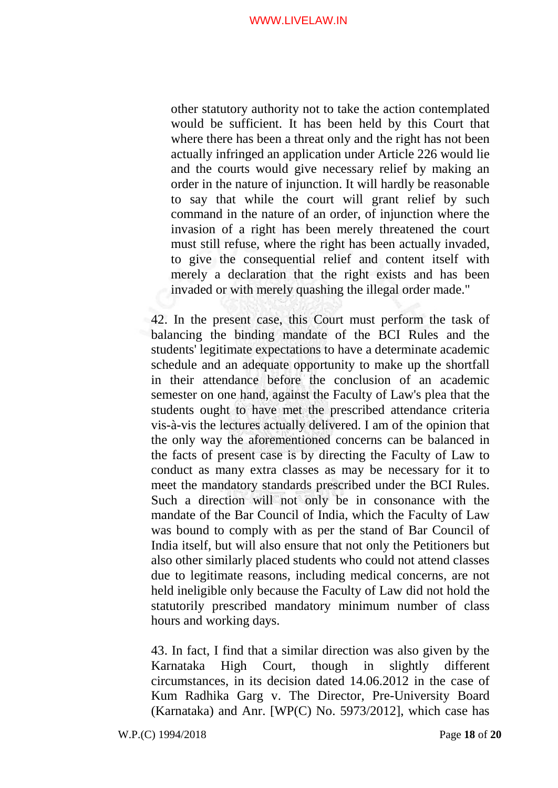other statutory authority not to take the action contemplated would be sufficient. It has been held by this Court that where there has been a threat only and the right has not been actually infringed an application under Article 226 would lie and the courts would give necessary relief by making an order in the nature of injunction. It will hardly be reasonable to say that while the court will grant relief by such command in the nature of an order, of injunction where the invasion of a right has been merely threatened the court must still refuse, where the right has been actually invaded, to give the consequential relief and content itself with merely a declaration that the right exists and has been invaded or with merely quashing the illegal order made."

42. In the present case, this Court must perform the task of balancing the binding mandate of the BCI Rules and the students' legitimate expectations to have a determinate academic schedule and an adequate opportunity to make up the shortfall in their attendance before the conclusion of an academic semester on one hand, against the Faculty of Law's plea that the students ought to have met the prescribed attendance criteria vis-à-vis the lectures actually delivered. I am of the opinion that the only way the aforementioned concerns can be balanced in the facts of present case is by directing the Faculty of Law to conduct as many extra classes as may be necessary for it to meet the mandatory standards prescribed under the BCI Rules. Such a direction will not only be in consonance with the mandate of the Bar Council of India, which the Faculty of Law was bound to comply with as per the stand of Bar Council of India itself, but will also ensure that not only the Petitioners but also other similarly placed students who could not attend classes due to legitimate reasons, including medical concerns, are not held ineligible only because the Faculty of Law did not hold the statutorily prescribed mandatory minimum number of class hours and working days.

43. In fact, I find that a similar direction was also given by the Karnataka High Court, though in slightly different circumstances, in its decision dated 14.06.2012 in the case of Kum Radhika Garg v. The Director, Pre-University Board (Karnataka) and Anr. [WP(C) No. 5973/2012], which case has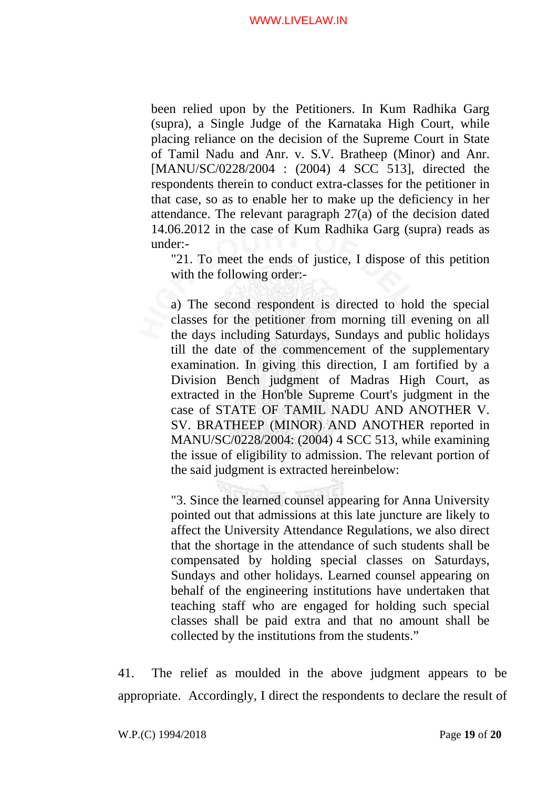been relied upon by the Petitioners. In Kum Radhika Garg (supra), a Single Judge of the Karnataka High Court, while placing reliance on the decision of the Supreme Court in State of Tamil Nadu and Anr. v. S.V. Bratheep (Minor) and Anr. [MANU/SC/0228/2004 : (2004) 4 SCC 513], directed the respondents therein to conduct extra-classes for the petitioner in that case, so as to enable her to make up the deficiency in her attendance. The relevant paragraph 27(a) of the decision dated 14.06.2012 in the case of Kum Radhika Garg (supra) reads as under:-

"21. To meet the ends of justice, I dispose of this petition with the following order:-

a) The second respondent is directed to hold the special classes for the petitioner from morning till evening on all the days including Saturdays, Sundays and public holidays till the date of the commencement of the supplementary examination. In giving this direction, I am fortified by a Division Bench judgment of Madras High Court, as extracted in the Hon'ble Supreme Court's judgment in the case of STATE OF TAMIL NADU AND ANOTHER V. SV. BRATHEEP (MINOR) AND ANOTHER reported in MANU/SC/0228/2004: (2004) 4 SCC 513, while examining the issue of eligibility to admission. The relevant portion of the said judgment is extracted hereinbelow:

"3. Since the learned counsel appearing for Anna University pointed out that admissions at this late juncture are likely to affect the University Attendance Regulations, we also direct that the shortage in the attendance of such students shall be compensated by holding special classes on Saturdays, Sundays and other holidays. Learned counsel appearing on behalf of the engineering institutions have undertaken that teaching staff who are engaged for holding such special classes shall be paid extra and that no amount shall be collected by the institutions from the students."

41. The relief as moulded in the above judgment appears to be appropriate. Accordingly, I direct the respondents to declare the result of